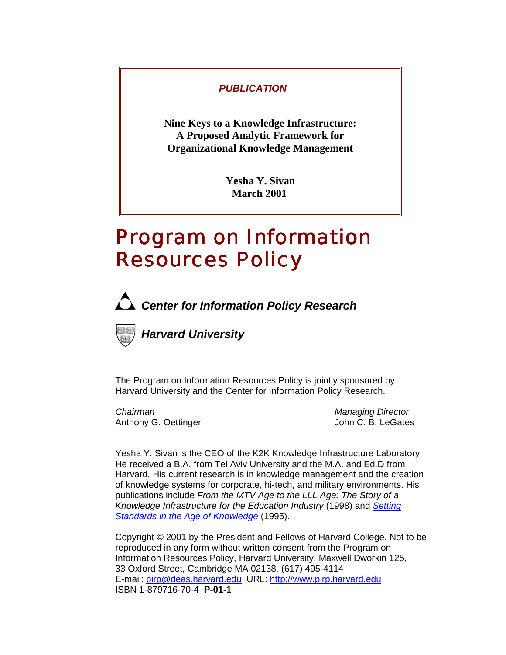### *PUBLICATION*

**Nine Keys to a Knowledge Infrastructure: A Proposed Analytic Framework for Organizational Knowledge Management** 

> **Yesha Y. Sivan March 2001**

# *Program on Information*  **Resources Policy**



*Center for Information Policy Research* 



*Harvard University* 

The Program on Information Resources Policy is jointly sponsored by Harvard University and the Center for Information Policy Research.

*Chairman Managing Director*  Anthony G. Oettinger **Anthony G. Oettinger** John C. B. LeGates

Yesha Y. Sivan is the CEO of the K2K Knowledge Infrastructure Laboratory. He received a B.A. from Tel Aviv University and the M.A. and Ed.D from Harvard. His current research is in knowledge management and the creation of knowledge systems for corporate, hi-tech, and military environments. His publications include *From the MTV Age to the LLL Age: The Story of a Knowledge Infrastructure for the Education Industry* (1998) and *Setting Standards in the Age of Knowledge* (1995).

Copyright © 2001 by the President and Fellows of Harvard College. Not to be reproduced in any form without written consent from the Program on Information Resources Policy, Harvard University, Maxwell Dworkin 125, 33 Oxford Street, Cambridge MA 02138. (617) 495-4114 E-mail: [pirp@deas.harvard.edu](mailto:pirp@deas.harvard.edu) URL: [http://www.pirp.harvard.edu](http://www.pirp.harvard.edu/) ISBN 1-879716-70-4 **P-01-1**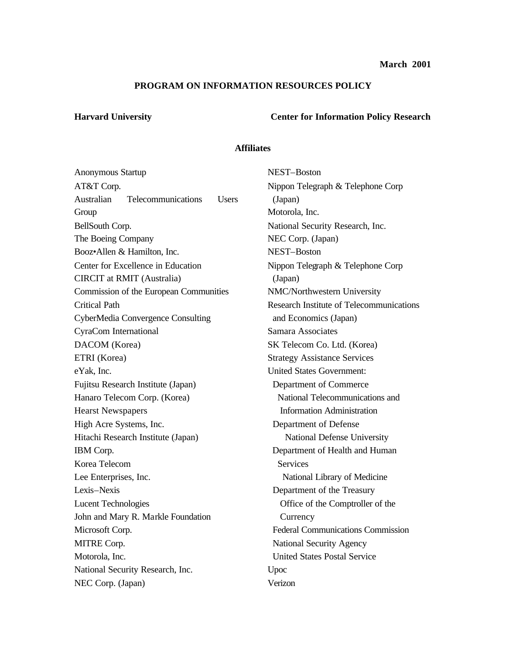### **PROGRAM ON INFORMATION RESOURCES POLICY**

## **Harvard University Center for Information Policy Research**

### **Affiliates**

| Anonymous Startup                                | NEST-Boston                                     |  |
|--------------------------------------------------|-------------------------------------------------|--|
| AT&T Corp.                                       | Nippon Telegraph & Telephone Corp               |  |
| Australian<br>Telecommunications<br><b>Users</b> | (Japan)                                         |  |
| Group                                            | Motorola, Inc.                                  |  |
| BellSouth Corp.                                  | National Security Research, Inc.                |  |
| The Boeing Company                               | NEC Corp. (Japan)                               |  |
| Booz•Allen & Hamilton, Inc.                      | NEST-Boston                                     |  |
| Center for Excellence in Education               | Nippon Telegraph & Telephone Corp               |  |
| <b>CIRCIT</b> at RMIT (Australia)                | (Japan)                                         |  |
| Commission of the European Communities           | NMC/Northwestern University                     |  |
| <b>Critical Path</b>                             | <b>Research Institute of Telecommunications</b> |  |
| <b>CyberMedia Convergence Consulting</b>         | and Economics (Japan)                           |  |
| CyraCom International                            | Samara Associates                               |  |
| DACOM (Korea)                                    | SK Telecom Co. Ltd. (Korea)                     |  |
| ETRI (Korea)                                     | <b>Strategy Assistance Services</b>             |  |
| eYak, Inc.                                       | <b>United States Government:</b>                |  |
| Fujitsu Research Institute (Japan)               | Department of Commerce                          |  |
| Hanaro Telecom Corp. (Korea)                     | National Telecommunications and                 |  |
| <b>Hearst Newspapers</b>                         | <b>Information Administration</b>               |  |
| High Acre Systems, Inc.                          | Department of Defense                           |  |
| Hitachi Research Institute (Japan)               | National Defense University                     |  |
| IBM Corp.                                        | Department of Health and Human                  |  |
| Korea Telecom                                    | <b>Services</b>                                 |  |
| Lee Enterprises, Inc.                            | National Library of Medicine                    |  |
| Lexis-Nexis                                      | Department of the Treasury                      |  |
| <b>Lucent Technologies</b>                       | Office of the Comptroller of the                |  |
| John and Mary R. Markle Foundation               | Currency                                        |  |
| Microsoft Corp.                                  | <b>Federal Communications Commission</b>        |  |
| MITRE Corp.                                      | <b>National Security Agency</b>                 |  |
| Motorola, Inc.                                   | <b>United States Postal Service</b>             |  |
| National Security Research, Inc.                 | Upoc                                            |  |
| NEC Corp. (Japan)                                | Verizon                                         |  |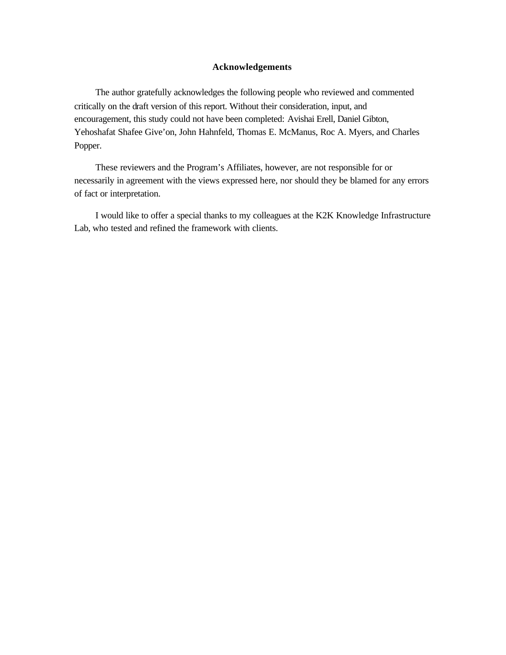### **Acknowledgements**

The author gratefully acknowledges the following people who reviewed and commented critically on the draft version of this report. Without their consideration, input, and encouragement, this study could not have been completed: Avishai Erell, Daniel Gibton, Yehoshafat Shafee Give'on, John Hahnfeld, Thomas E. McManus, Roc A. Myers, and Charles Popper.

These reviewers and the Program's Affiliates, however, are not responsible for or necessarily in agreement with the views expressed here, nor should they be blamed for any errors of fact or interpretation.

I would like to offer a special thanks to my colleagues at the K2K Knowledge Infrastructure Lab, who tested and refined the framework with clients.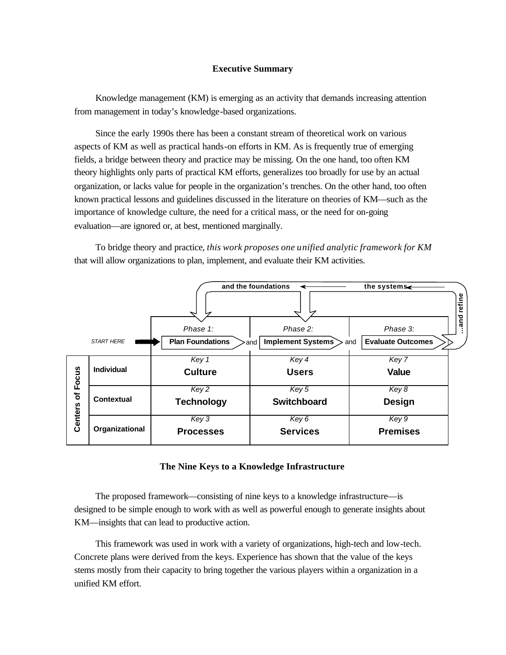### **Executive Summary**

Knowledge management (KM) is emerging as an activity that demands increasing attention from management in today's knowledge-based organizations.

Since the early 1990s there has been a constant stream of theoretical work on various aspects of KM as well as practical hands-on efforts in KM. As is frequently true of emerging fields, a bridge between theory and practice may be missing. On the one hand, too often KM theory highlights only parts of practical KM efforts, generalizes too broadly for use by an actual organization, or lacks value for people in the organization's trenches. On the other hand, too often known practical lessons and guidelines discussed in the literature on theories of KM—such as the importance of knowledge culture, the need for a critical mass, or the need for on-going evaluation—are ignored or, at best, mentioned marginally.

To bridge theory and practice, *this work proposes one unified analytic framework for KM*  that will allow organizations to plan, implement, and evaluate their KM activities.



### **The Nine Keys to a Knowledge Infrastructure**

The proposed framework—consisting of nine keys to a knowledge infrastructure—is designed to be simple enough to work with as well as powerful enough to generate insights about KM—insights that can lead to productive action.

This framework was used in work with a variety of organizations, high-tech and low-tech. Concrete plans were derived from the keys. Experience has shown that the value of the keys stems mostly from their capacity to bring together the various players within a organization in a unified KM effort.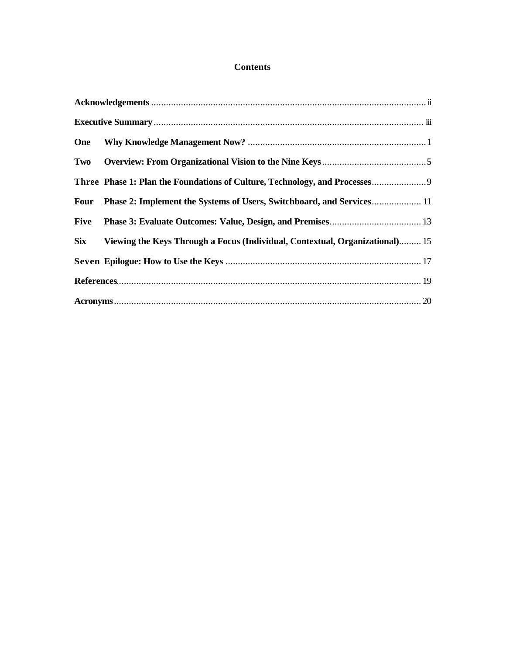### **Contents**

| One        |                                                                              |  |
|------------|------------------------------------------------------------------------------|--|
|            |                                                                              |  |
|            | Three Phase 1: Plan the Foundations of Culture, Technology, and Processes    |  |
|            | Four Phase 2: Implement the Systems of Users, Switchboard, and Services 11   |  |
| Five       |                                                                              |  |
| <b>Six</b> | Viewing the Keys Through a Focus (Individual, Contextual, Organizational) 15 |  |
|            |                                                                              |  |
|            |                                                                              |  |
|            |                                                                              |  |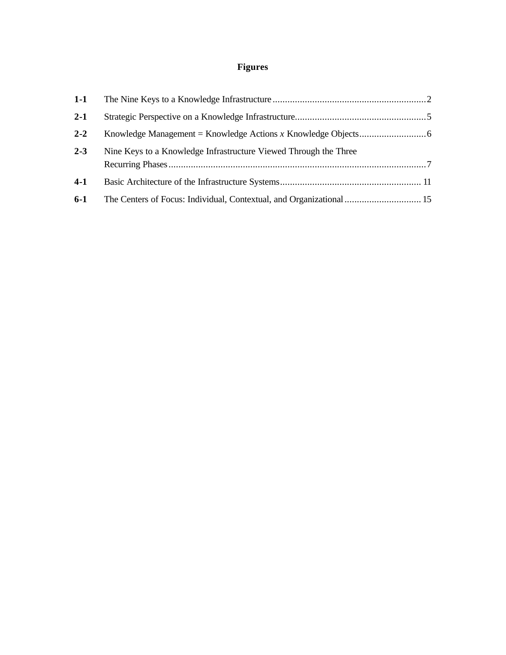## **Figures**

| $1-1$   |                                                                      |  |
|---------|----------------------------------------------------------------------|--|
| $2 - 1$ |                                                                      |  |
| $2 - 2$ |                                                                      |  |
| $2 - 3$ | Nine Keys to a Knowledge Infrastructure Viewed Through the Three     |  |
| $4-1$   |                                                                      |  |
| $6-1$   | The Centers of Focus: Individual, Contextual, and Organizational  15 |  |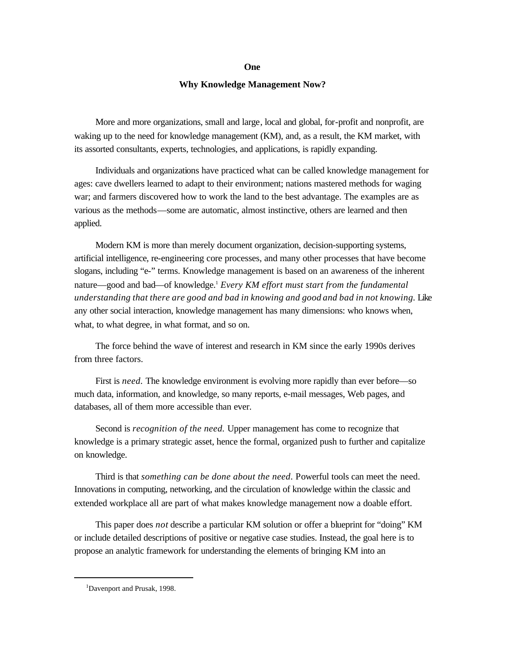#### **One**

#### **Why Knowledge Management Now?**

More and more organizations, small and large, local and global, for-profit and nonprofit, are waking up to the need for knowledge management (KM), and, as a result, the KM market, with its assorted consultants, experts, technologies, and applications, is rapidly expanding.

Individuals and organizations have practiced what can be called knowledge management for ages: cave dwellers learned to adapt to their environment; nations mastered methods for waging war; and farmers discovered how to work the land to the best advantage. The examples are as various as the methods—some are automatic, almost instinctive, others are learned and then applied.

Modern KM is more than merely document organization, decision-supporting systems, artificial intelligence, re-engineering core processes, and many other processes that have become slogans, including "e-" terms. Knowledge management is based on an awareness of the inherent nature—good and bad—of knowledge.<sup>1</sup> *Every KM effort must start from the fundamental understanding that there are good and bad in knowing and good and bad in not knowing.* Like any other social interaction, knowledge management has many dimensions: who knows when, what, to what degree, in what format, and so on.

The force behind the wave of interest and research in KM since the early 1990s derives from three factors.

First is *need*. The knowledge environment is evolving more rapidly than ever before—so much data, information, and knowledge, so many reports, e-mail messages, Web pages, and databases, all of them more accessible than ever.

Second is *recognition of the need.* Upper management has come to recognize that knowledge is a primary strategic asset, hence the formal, organized push to further and capitalize on knowledge.

Third is that *something can be done about the need*. Powerful tools can meet the need. Innovations in computing, networking, and the circulation of knowledge within the classic and extended workplace all are part of what makes knowledge management now a doable effort.

This paper does *not* describe a particular KM solution or offer a blueprint for "doing" KM or include detailed descriptions of positive or negative case studies. Instead, the goal here is to propose an analytic framework for understanding the elements of bringing KM into an

<sup>&</sup>lt;sup>1</sup>Davenport and Prusak, 1998.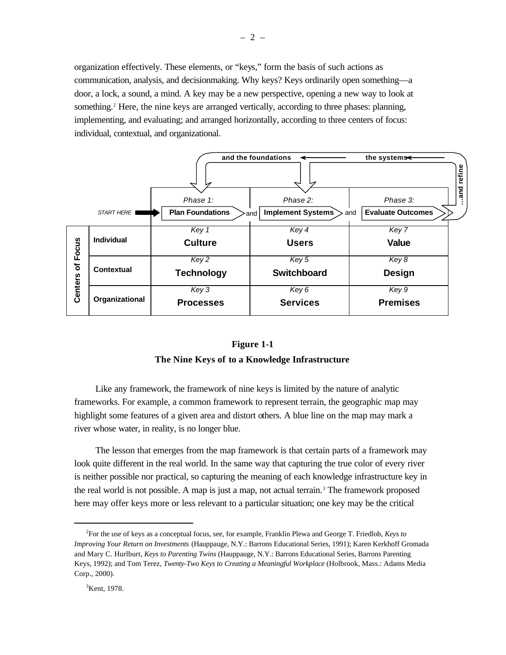organization effectively. These elements, or "keys," form the basis of such actions as communication, analysis, and decisionmaking. Why keys? Keys ordinarily open something—a door, a lock, a sound, a mind. A key may be a new perspective, opening a new way to look at something.<sup>2</sup> Here, the nine keys are arranged vertically, according to three phases: planning, implementing, and evaluating; and arranged horizontally, according to three centers of focus: individual, contextual, and organizational.



#### **Figure 1-1**

### **The Nine Keys of to a Knowledge Infrastructure**

Like any framework, the framework of nine keys is limited by the nature of analytic frameworks. For example, a common framework to represent terrain, the geographic map may highlight some features of a given area and distort others. A blue line on the map may mark a river whose water, in reality, is no longer blue.

The lesson that emerges from the map framework is that certain parts of a framework may look quite different in the real world. In the same way that capturing the true color of every river is neither possible nor practical, so capturing the meaning of each knowledge infrastructure key in the real world is not possible. A map is just a map, not actual terrain.<sup>3</sup> The framework proposed here may offer keys more or less relevant to a particular situation; one key may be the critical

<sup>2</sup>For the use of keys as a conceptual focus, see, for example, Franklin Plewa and George T. Friedlob, *Keys to Improving Your Return on Investments* (Hauppauge, N.Y.: Barrons Educational Series, 1991); Karen Kerkhoff Gromada and Mary C. Hurlburt, *Keys to Parenting Twins* (Hauppauge, N.Y.: Barrons Educational Series, Barrons Parenting Keys, 1992); and Tom Terez, *Twenty-Two Keys to Creating a Meaningful Workplace* (Holbrook, Mass.: Adams Media Corp., 2000).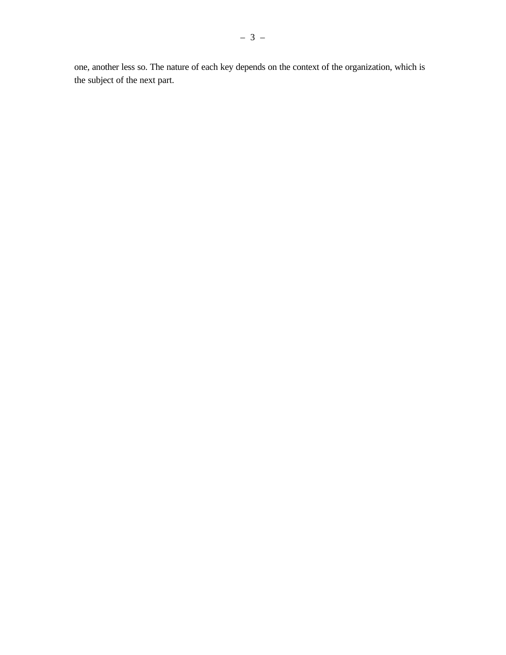one, another less so. The nature of each key depends on the context of the organization, which is the subject of the next part.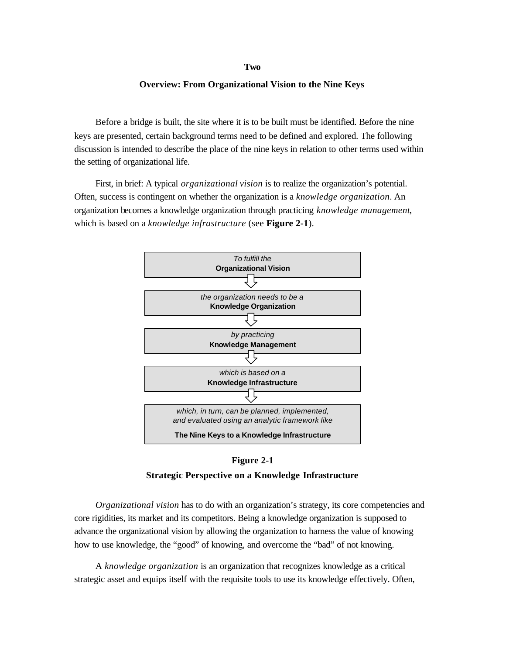#### **Two**

#### **Overview: From Organizational Vision to the Nine Keys**

Before a bridge is built, the site where it is to be built must be identified. Before the nine keys are presented, certain background terms need to be defined and explored. The following discussion is intended to describe the place of the nine keys in relation to other terms used within the setting of organizational life.

First, in brief: A typical *organizational vision* is to realize the organization's potential. Often, success is contingent on whether the organization is a *knowledge organization*. An organization becomes a knowledge organization through practicing *knowledge management*, which is based on a *knowledge infrastructure* (see **Figure 2-1**).





*Organizational vision* has to do with an organization's strategy, its core competencies and core rigidities, its market and its competitors. Being a knowledge organization is supposed to advance the organizational vision by allowing the organization to harness the value of knowing how to use knowledge, the "good" of knowing, and overcome the "bad" of not knowing.

A *knowledge organization* is an organization that recognizes knowledge as a critical strategic asset and equips itself with the requisite tools to use its knowledge effectively. Often,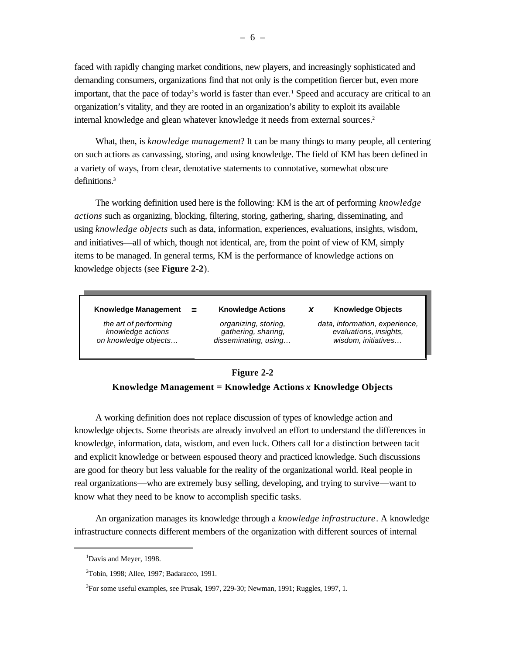faced with rapidly changing market conditions, new players, and increasingly sophisticated and demanding consumers, organizations find that not only is the competition fiercer but, even more important, that the pace of today's world is faster than ever.<sup>1</sup> Speed and accuracy are critical to an organization's vitality, and they are rooted in an organization's ability to exploit its available internal knowledge and glean whatever knowledge it needs from external sources.<sup>2</sup>

What, then, is *knowledge management*? It can be many things to many people, all centering on such actions as canvassing, storing, and using knowledge. The field of KM has been defined in a variety of ways, from clear, denotative statements to connotative, somewhat obscure definitions.<sup>3</sup>

The working definition used here is the following: KM is the art of performing *knowledge actions* such as organizing, blocking, filtering, storing, gathering, sharing, disseminating, and using *knowledge objects* such as data, information, experiences, evaluations, insights, wisdom, and initiatives—all of which, though not identical, are, from the point of view of KM, simply items to be managed. In general terms, KM is the performance of knowledge actions on knowledge objects (see **Figure 2-2**).

**Knowledge Management**

*the art of performing knowledge actions on knowledge objects…* **Knowledge Actions =** *xorganizing, storing,*

*gathering, sharing, disseminating, using…*

### **Knowledge Objects**

*data, information, experience, evaluations, insights, wisdom, initiatives…*

### **Figure 2-2 Knowledge Management = Knowledge Actions** *x* **Knowledge Objects**

A working definition does not replace discussion of types of knowledge action and knowledge objects. Some theorists are already involved an effort to understand the differences in knowledge, information, data, wisdom, and even luck. Others call for a distinction between tacit and explicit knowledge or between espoused theory and practiced knowledge. Such discussions are good for theory but less valuable for the reality of the organizational world. Real people in real organizations—who are extremely busy selling, developing, and trying to survive—want to know what they need to be know to accomplish specific tasks.

An organization manages its knowledge through a *knowledge infrastructure*. A knowledge infrastructure connects different members of the organization with different sources of internal

<sup>&</sup>lt;sup>1</sup>Davis and Meyer, 1998.

<sup>2</sup>Tobin, 1998; Allee, 1997; Badaracco, 1991.

 $3$ For some useful examples, see Prusak, 1997, 229-30; Newman, 1991; Ruggles, 1997, 1.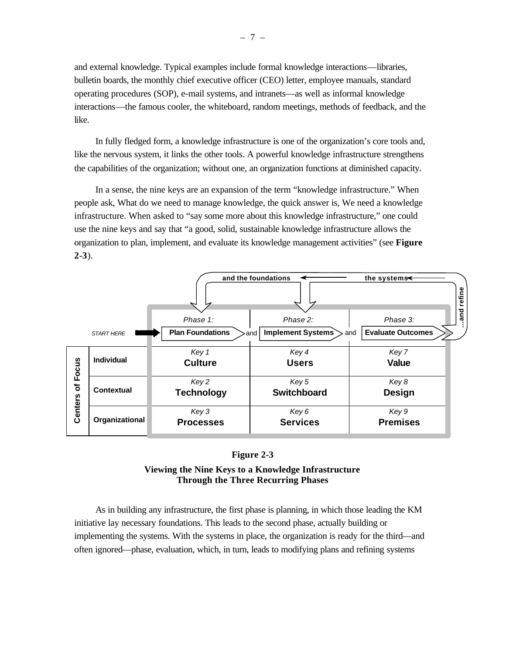and external knowledge. Typical examples include formal knowledge interactions—libraries, bulletin boards, the monthly chief executive officer (CEO) letter, employee manuals, standard operating procedures (SOP), e-mail systems, and intranets—as well as informal knowledge interactions—the famous cooler, the whiteboard, random meetings, methods of feedback, and the like.

In fully fledged form, a knowledge infrastructure is one of the organization's core tools and, like the nervous system, it links the other tools. A powerful knowledge infrastructure strengthens the capabilities of the organization; without one, an organization functions at diminished capacity.

In a sense, the nine keys are an expansion of the term "knowledge infrastructure." When people ask, What do we need to manage knowledge, the quick answer is, We need a knowledge infrastructure. When asked to "say some more about this knowledge infrastructure," one could use the nine keys and say that "a good, solid, sustainable knowledge infrastructure allows the organization to plan, implement, and evaluate its knowledge management activities" (see **Figure 2-3**).



### **Figure 2-3**

### **Viewing the Nine Keys to a Knowledge Infrastructure Through the Three Recurring Phases**

As in building any infrastructure, the first phase is planning, in which those leading the KM initiative lay necessary foundations. This leads to the second phase, actually building or implementing the systems. With the systems in place, the organization is ready for the third—and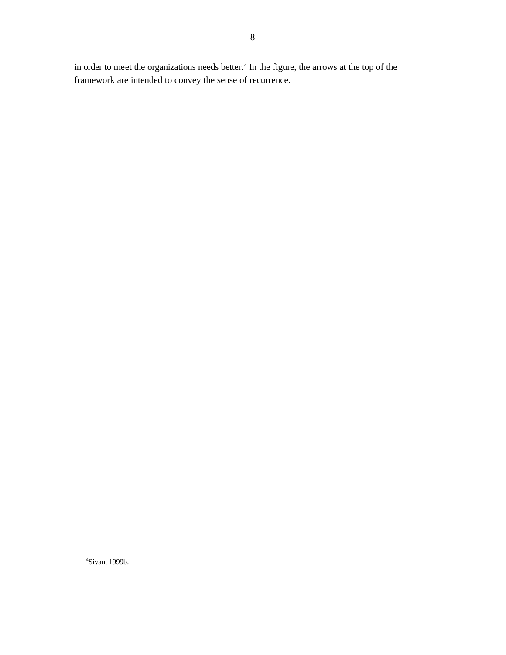in order to meet the organizations needs better.<sup>4</sup> In the figure, the arrows at the top of the framework are intended to convey the sense of recurrence.

<sup>4</sup>Sivan, 1999b.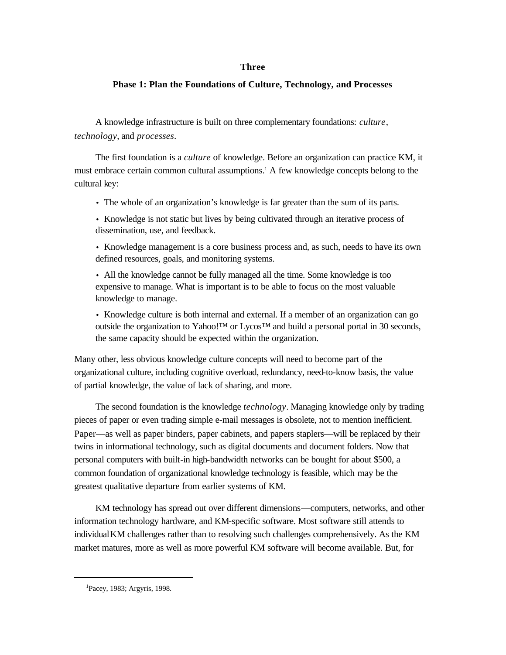### **Three**

### **Phase 1: Plan the Foundations of Culture, Technology, and Processes**

A knowledge infrastructure is built on three complementary foundations: *culture*, *technology*, and *processes*.

The first foundation is a *culture* of knowledge. Before an organization can practice KM, it must embrace certain common cultural assumptions.<sup>1</sup> A few knowledge concepts belong to the cultural key:

- The whole of an organization's knowledge is far greater than the sum of its parts.
- Knowledge is not static but lives by being cultivated through an iterative process of dissemination, use, and feedback.

• Knowledge management is a core business process and, as such, needs to have its own defined resources, goals, and monitoring systems.

• All the knowledge cannot be fully managed all the time. Some knowledge is too expensive to manage. What is important is to be able to focus on the most valuable knowledge to manage.

• Knowledge culture is both internal and external. If a member of an organization can go outside the organization to Yahoo!™ or Lycos™ and build a personal portal in 30 seconds, the same capacity should be expected within the organization.

Many other, less obvious knowledge culture concepts will need to become part of the organizational culture, including cognitive overload, redundancy, need-to-know basis, the value of partial knowledge, the value of lack of sharing, and more.

The second foundation is the knowledge *technology*. Managing knowledge only by trading pieces of paper or even trading simple e-mail messages is obsolete, not to mention inefficient. Paper—as well as paper binders, paper cabinets, and papers staplers—will be replaced by their twins in informational technology, such as digital documents and document folders. Now that personal computers with built-in high-bandwidth networks can be bought for about \$500, a common foundation of organizational knowledge technology is feasible, which may be the greatest qualitative departure from earlier systems of KM.

KM technology has spread out over different dimensions—computers, networks, and other information technology hardware, and KM-specific software. Most software still attends to individual KM challenges rather than to resolving such challenges comprehensively. As the KM market matures, more as well as more powerful KM software will become available. But, for

<sup>1</sup>Pacey, 1983; Argyris, 1998.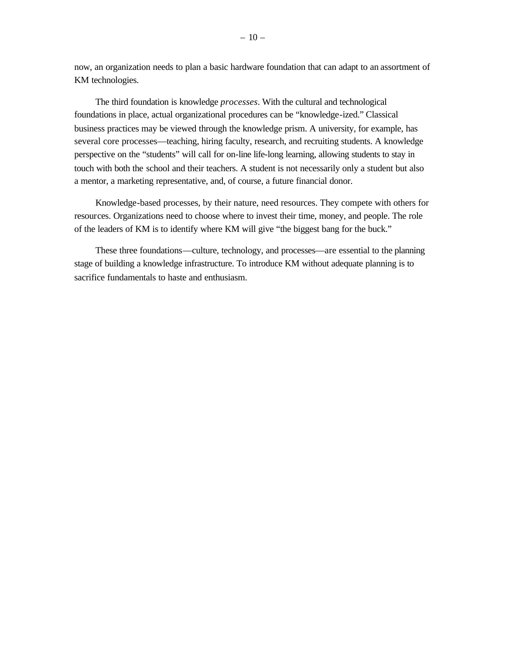now, an organization needs to plan a basic hardware foundation that can adapt to an assortment of KM technologies.

The third foundation is knowledge *processes*. With the cultural and technological foundations in place, actual organizational procedures can be "knowledge-ized." Classical business practices may be viewed through the knowledge prism. A university, for example, has several core processes—teaching, hiring faculty, research, and recruiting students. A knowledge perspective on the "students" will call for on-line life-long learning, allowing students to stay in touch with both the school and their teachers. A student is not necessarily only a student but also a mentor, a marketing representative, and, of course, a future financial donor.

Knowledge-based processes, by their nature, need resources. They compete with others for resources. Organizations need to choose where to invest their time, money, and people. The role of the leaders of KM is to identify where KM will give "the biggest bang for the buck."

These three foundations—culture, technology, and processes—are essential to the planning stage of building a knowledge infrastructure. To introduce KM without adequate planning is to sacrifice fundamentals to haste and enthusiasm.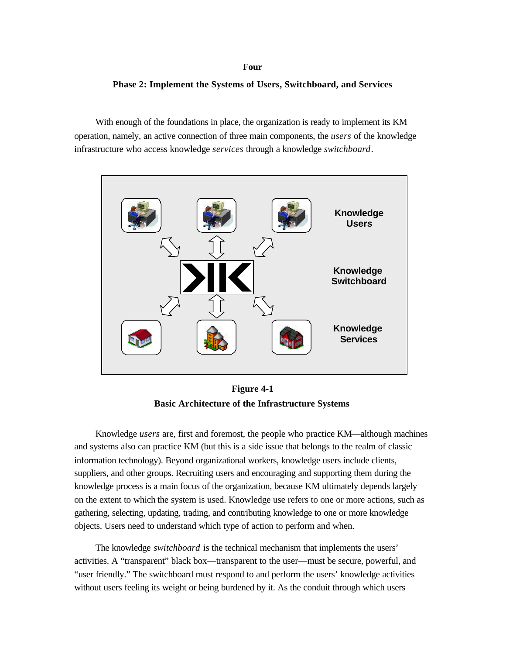#### **Four**

### **Phase 2: Implement the Systems of Users, Switchboard, and Services**

With enough of the foundations in place, the organization is ready to implement its KM operation, namely, an active connection of three main components, the *users* of the knowledge infrastructure who access knowledge *services* through a knowledge *switchboard*.



**Figure 4-1 Basic Architecture of the Infrastructure Systems**

Knowledge *users* are, first and foremost, the people who practice KM—although machines and systems also can practice KM (but this is a side issue that belongs to the realm of classic information technology). Beyond organizational workers, knowledge users include clients, suppliers, and other groups. Recruiting users and encouraging and supporting them during the knowledge process is a main focus of the organization, because KM ultimately depends largely on the extent to which the system is used. Knowledge use refers to one or more actions, such as gathering, selecting, updating, trading, and contributing knowledge to one or more knowledge objects. Users need to understand which type of action to perform and when.

The knowledge *switchboard* is the technical mechanism that implements the users' activities. A "transparent" black box—transparent to the user—must be secure, powerful, and "user friendly." The switchboard must respond to and perform the users' knowledge activities without users feeling its weight or being burdened by it. As the conduit through which users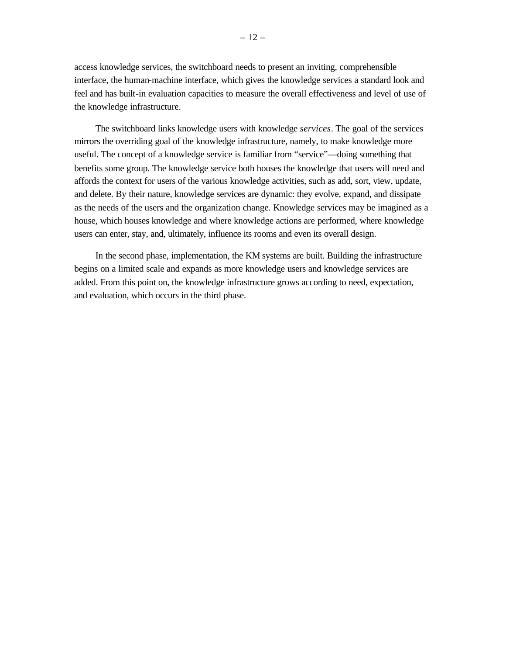access knowledge services, the switchboard needs to present an inviting, comprehensible interface, the human-machine interface, which gives the knowledge services a standard look and feel and has built-in evaluation capacities to measure the overall effectiveness and level of use of the knowledge infrastructure.

The switchboard links knowledge users with knowledge *services*. The goal of the services mirrors the overriding goal of the knowledge infrastructure, namely, to make knowledge more useful. The concept of a knowledge service is familiar from "service"—doing something that benefits some group. The knowledge service both houses the knowledge that users will need and affords the context for users of the various knowledge activities, such as add, sort, view, update, and delete. By their nature, knowledge services are dynamic: they evolve, expand, and dissipate as the needs of the users and the organization change. Knowledge services may be imagined as a house, which houses knowledge and where knowledge actions are performed, where knowledge users can enter, stay, and, ultimately, influence its rooms and even its overall design.

In the second phase, implementation, the KM systems are built. Building the infrastructure begins on a limited scale and expands as more knowledge users and knowledge services are added. From this point on, the knowledge infrastructure grows according to need, expectation, and evaluation, which occurs in the third phase.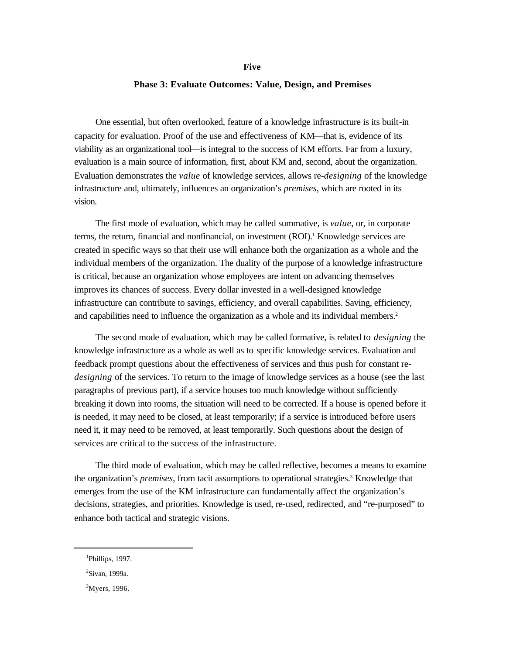#### **Phase 3: Evaluate Outcomes: Value, Design, and Premises**

One essential, but often overlooked, feature of a knowledge infrastructure is its built-in capacity for evaluation. Proof of the use and effectiveness of KM—that is, evidence of its viability as an organizational tool—is integral to the success of KM efforts. Far from a luxury, evaluation is a main source of information, first, about KM and, second, about the organization. Evaluation demonstrates the *value* of knowledge services, allows re-*designing* of the knowledge infrastructure and, ultimately, influences an organization's *premises*, which are rooted in its vision.

The first mode of evaluation, which may be called summative, is *value*, or, in corporate terms, the return, financial and nonfinancial, on investment (ROI).<sup>1</sup> Knowledge services are created in specific ways so that their use will enhance both the organization as a whole and the individual members of the organization. The duality of the purpose of a knowledge infrastructure is critical, because an organization whose employees are intent on advancing themselves improves its chances of success. Every dollar invested in a well-designed knowledge infrastructure can contribute to savings, efficiency, and overall capabilities. Saving, efficiency, and capabilities need to influence the organization as a whole and its individual members.<sup>2</sup>

The second mode of evaluation, which may be called formative, is related to *designing* the knowledge infrastructure as a whole as well as to specific knowledge services. Evaluation and feedback prompt questions about the effectiveness of services and thus push for constant re*designing* of the services. To return to the image of knowledge services as a house (see the last paragraphs of previous part), if a service houses too much knowledge without sufficiently breaking it down into rooms, the situation will need to be corrected. If a house is opened before it is needed, it may need to be closed, at least temporarily; if a service is introduced before users need it, it may need to be removed, at least temporarily. Such questions about the design of services are critical to the success of the infrastructure.

The third mode of evaluation, which may be called reflective, becomes a means to examine the organization's *premises*, from tacit assumptions to operational strategies.<sup>3</sup> Knowledge that emerges from the use of the KM infrastructure can fundamentally affect the organization's decisions, strategies, and priorities. Knowledge is used, re-used, redirected, and "re-purposed" to enhance both tactical and strategic visions.

<sup>&</sup>lt;sup>1</sup>Phillips, 1997.

<sup>2</sup>Sivan, 1999a.

 $3$ Myers, 1996.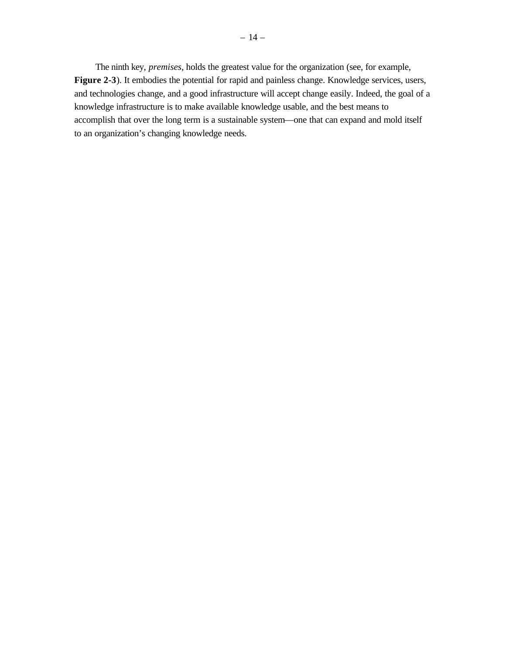The ninth key, *premises*, holds the greatest value for the organization (see, for example, **Figure 2-3**). It embodies the potential for rapid and painless change. Knowledge services, users, and technologies change, and a good infrastructure will accept change easily. Indeed, the goal of a knowledge infrastructure is to make available knowledge usable, and the best means to accomplish that over the long term is a sustainable system—one that can expand and mold itself to an organization's changing knowledge needs.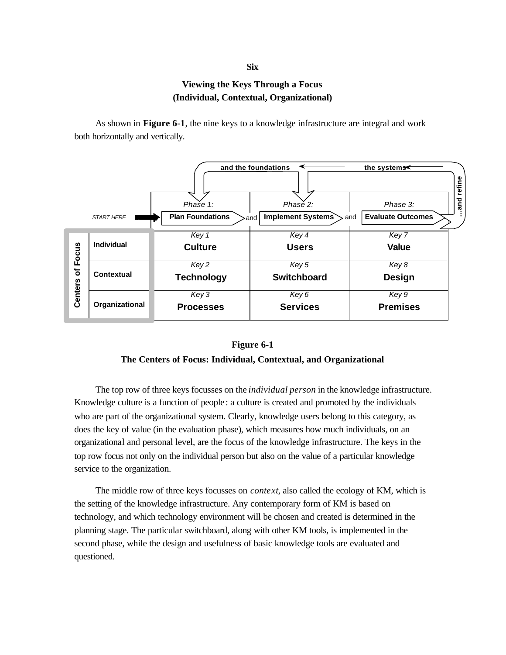## **Six**

### **Viewing the Keys Through a Focus (Individual, Contextual, Organizational)**

As shown in **Figure 6-1**, the nine keys to a knowledge infrastructure are integral and work both horizontally and vertically.



### **Figure 6-1**

### **The Centers of Focus: Individual, Contextual, and Organizational**

The top row of three keys focusses on the *individual person* in the knowledge infrastructure. Knowledge culture is a function of people: a culture is created and promoted by the individuals who are part of the organizational system. Clearly, knowledge users belong to this category, as does the key of value (in the evaluation phase), which measures how much individuals, on an organizational and personal level, are the focus of the knowledge infrastructure. The keys in the top row focus not only on the individual person but also on the value of a particular knowledge service to the organization. **Contenting to the Content of Content Content Content Content Content Content Content Content Content Content Content Content Content Content Content Content Content Content Content Content Content Content Content Content** 

The middle row of three keys focusses on *context*, also called the ecology of KM, which is the setting of the knowledge infrastructure. Any contemporary form of KM is based on technology, and which technology environment will be chosen and created is determined in the planning stage. The particular switchboard, along with other KM tools, is implemented in the second phase, while the design and usefulness of basic knowledge tools are evaluated and questioned.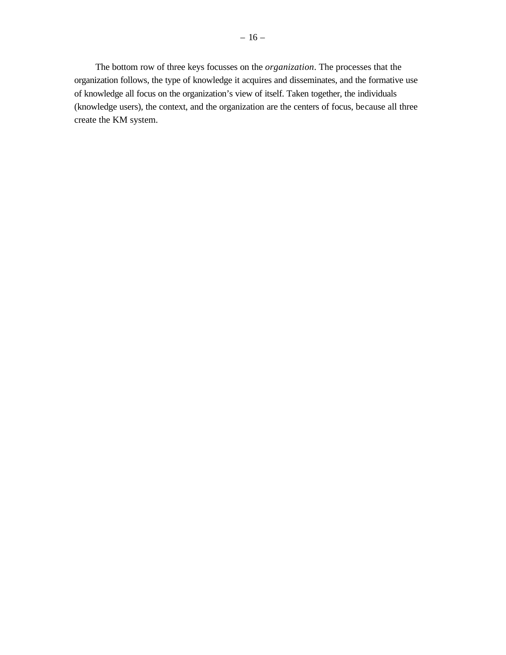The bottom row of three keys focusses on the *organization*. The processes that the organization follows, the type of knowledge it acquires and disseminates, and the formative use of knowledge all focus on the organization's view of itself. Taken together, the individuals (knowledge users), the context, and the organization are the centers of focus, because all three create the KM system.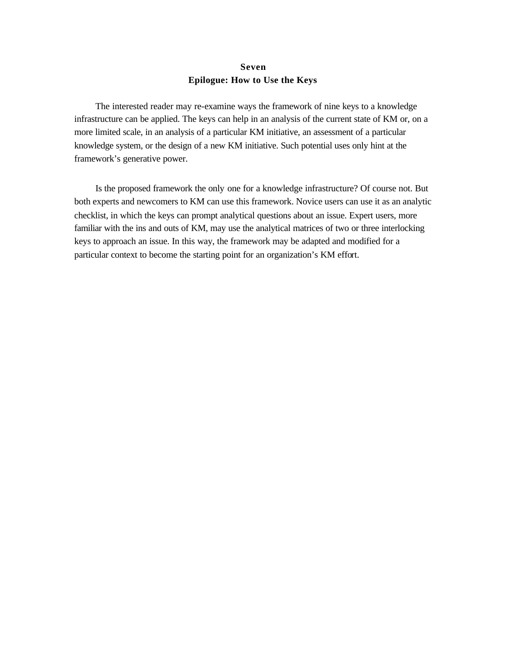### **Seven Epilogue: How to Use the Keys**

The interested reader may re-examine ways the framework of nine keys to a knowledge infrastructure can be applied. The keys can help in an analysis of the current state of KM or, on a more limited scale, in an analysis of a particular KM initiative, an assessment of a particular knowledge system, or the design of a new KM initiative. Such potential uses only hint at the framework's generative power.

Is the proposed framework the only one for a knowledge infrastructure? Of course not. But both experts and newcomers to KM can use this framework. Novice users can use it as an analytic checklist, in which the keys can prompt analytical questions about an issue. Expert users, more familiar with the ins and outs of KM, may use the analytical matrices of two or three interlocking keys to approach an issue. In this way, the framework may be adapted and modified for a particular context to become the starting point for an organization's KM effort.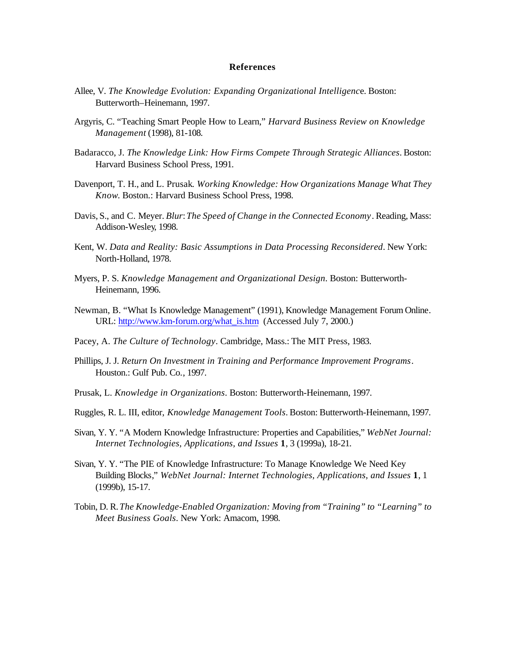#### **References**

- Allee, V. *The Knowledge Evolution: Expanding Organizational Intelligenc*e. Boston: Butterworth–Heinemann, 1997.
- Argyris, C. "Teaching Smart People How to Learn," *Harvard Business Review on Knowledge Management* (1998), 81-108.
- Badaracco, J. *The Knowledge Link: How Firms Compete Through Strategic Alliances*. Boston: Harvard Business School Press, 1991.
- Davenport, T. H., and L. Prusak. *Working Knowledge: How Organizations Manage What They Know*. Boston.: Harvard Business School Press, 1998.
- Davis, S., and C. Meyer. *Blur*: *The Speed of Change in the Connected Economy*. Reading, Mass: Addison-Wesley, 1998.
- Kent, W. *Data and Reality: Basic Assumptions in Data Processing Reconsidered*. New York: North-Holland, 1978.
- Myers, P. S. *Knowledge Management and Organizational Design*. Boston: Butterworth-Heinemann, 1996.
- Newman, B. "What Is Knowledge Management" (1991), Knowledge Management Forum Online. URL: [http://www.km-forum.org/what\\_is.htm](http://www.km-forum.org/what_is.htm) (Accessed July 7, 2000.)
- Pacey, A. *The Culture of Technology*. Cambridge, Mass.: The MIT Press, 1983.
- Phillips, J. J. *Return On Investment in Training and Performance Improvement Programs*. Houston.: Gulf Pub. Co., 1997.
- Prusak, L. *Knowledge in Organizations*. Boston: Butterworth-Heinemann, 1997.
- Ruggles, R. L. III, editor, *Knowledge Management Tools*. Boston: Butterworth-Heinemann, 1997.
- Sivan, Y. Y. "A Modern Knowledge Infrastructure: Properties and Capabilities," *WebNet Journal: Internet Technologies, Applications, and Issues* **1**, 3 (1999a), 18-21.
- Sivan, Y. Y. "The PIE of Knowledge Infrastructure: To Manage Knowledge We Need Key Building Blocks," *WebNet Journal: Internet Technologies, Applications, and Issues* **1**, 1 (1999b), 15-17.
- Tobin, D. R. *The Knowledge-Enabled Organiza*t*ion: Moving from "Training" to "Learning" to Meet Business Goals*. New York: Amacom, 1998.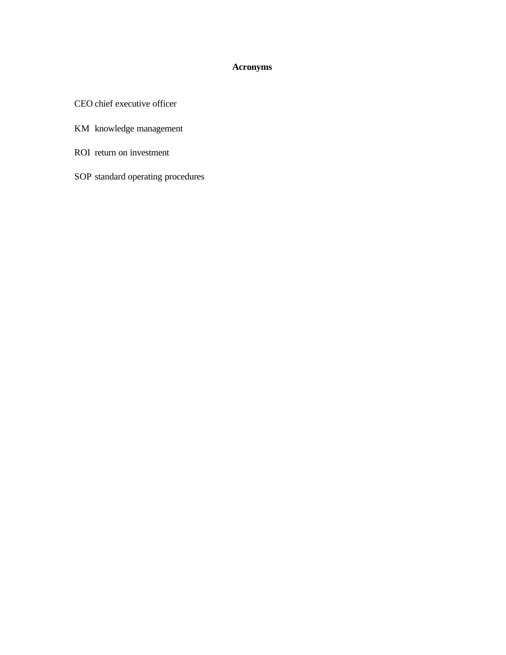### **Acronyms**

CEO chief executive officer

- KM knowledge management
- ROI return on investment
- SOP standard operating procedures